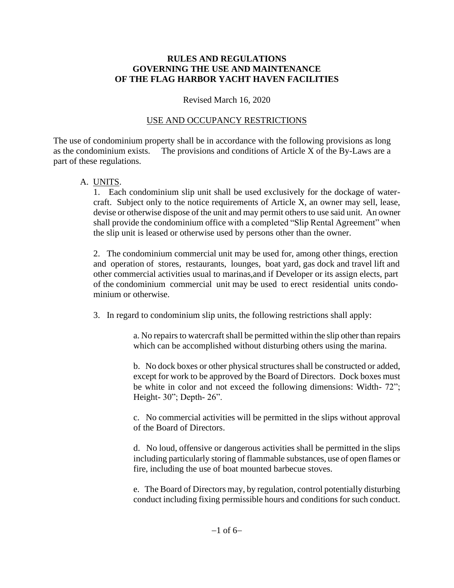#### **RULES AND REGULATIONS GOVERNING THE USE AND MAINTENANCE OF THE FLAG HARBOR YACHT HAVEN FACILITIES**

#### Revised March 16, 2020

#### USE AND OCCUPANCY RESTRICTIONS

The use of condominium property shall be in accordance with the following provisions as long as the condominium exists. The provisions and conditions of Article X of the By-Laws are a part of these regulations.

#### A. UNITS.

1. Each condominium slip unit shall be used exclusively for the dockage of watercraft. Subject only to the notice requirements of Article X, an owner may sell, lease, devise or otherwise dispose of the unit and may permit others to use said unit. An owner shall provide the condominium office with a completed "Slip Rental Agreement" when the slip unit is leased or otherwise used by persons other than the owner.

2. The condominium commercial unit may be used for, among other things, erection and operation of stores, restaurants, lounges, boat yard, gas dock and travel lift and other commercial activities usual to marinas,and if Developer or its assign elects, part of the condominium commercial unit may be used to erect residential units condo minium or otherwise.

3. In regard to condominium slip units, the following restrictions shall apply:

a. No repairs to watercraft shall be permitted within the slip other than repairs which can be accomplished without disturbing others using the marina.

b. No dock boxes or other physical structures shall be constructed or added, except for work to be approved by the Board of Directors. Dock boxes must be white in color and not exceed the following dimensions: Width- 72"; Height- 30"; Depth- 26".

c. No commercial activities will be permitted in the slips without approval of the Board of Directors.

d. No loud, offensive or dangerous activities shall be permitted in the slips including particularly storing of flammable substances, use of open flames or fire, including the use of boat mounted barbecue stoves.

e. The Board of Directors may, by regulation, control potentially disturbing conduct including fixing permissible hours and conditions for such conduct.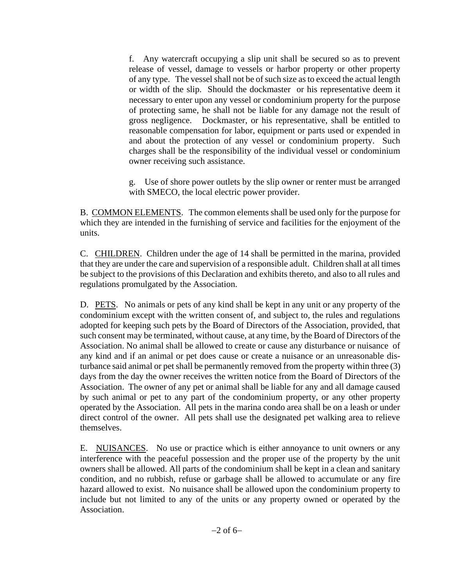f. Any watercraft occupying a slip unit shall be secured so as to prevent release of vessel, damage to vessels or harbor property or other property of any type. The vessel shall not be of such size as to exceed the actual length or width of the slip. Should the dockmaster or his representative deem it necessary to enter upon any vessel or condominium property for the purpose of protecting same, he shall not be liable for any damage not the result of gross negligence. Dockmaster, or his representative, shall be entitled to reasonable compensation for labor, equipment or parts used or expended in and about the protection of any vessel or condominium property. Such charges shall be the responsibility of the individual vessel or condominium owner receiving such assistance.

g. Use of shore power outlets by the slip owner or renter must be arranged with SMECO, the local electric power provider.

B. COMMON ELEMENTS. The common elements shall be used only for the purpose for which they are intended in the furnishing of service and facilities for the enjoyment of the units.

C. CHILDREN. Children under the age of 14 shall be permitted in the marina, provided that they are under the care and supervision of a responsible adult. Children shall at all times be subject to the provisions of this Declaration and exhibits thereto, and also to all rules and regulations promulgated by the Association.

D. PETS. No animals or pets of any kind shall be kept in any unit or any property of the condominium except with the written consent of, and subject to, the rules and regulations adopted for keeping such pets by the Board of Directors of the Association, provided, that such consent may be terminated, without cause, at any time, by the Board of Directors of the Association. No animal shall be allowed to create or cause any disturbance or nuisance of any kind and if an animal or pet does cause or create a nuisance or an unreasonable disturbance said animal or pet shall be permanently removed from the property within three (3) days from the day the owner receives the written notice from the Board of Directors of the Association. The owner of any pet or animal shall be liable for any and all damage caused by such animal or pet to any part of the condominium property, or any other property operated by the Association. All pets in the marina condo area shall be on a leash or under direct control of the owner. All pets shall use the designated pet walking area to relieve themselves.

E. NUISANCES. No use or practice which is either annoyance to unit owners or any interference with the peaceful possession and the proper use of the property by the unit owners shall be allowed. All parts of the condominium shall be kept in a clean and sanitary condition, and no rubbish, refuse or garbage shall be allowed to accumulate or any fire hazard allowed to exist. No nuisance shall be allowed upon the condominium property to include but not limited to any of the units or any property owned or operated by the Association.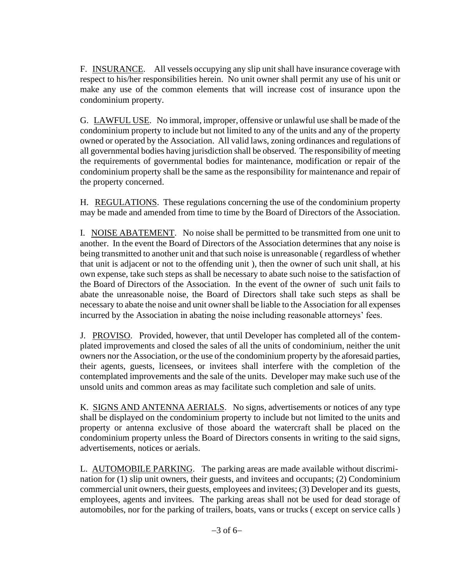F. INSURANCE. All vessels occupying any slip unit shall have insurance coverage with respect to his/her responsibilities herein. No unit owner shall permit any use of his unit or make any use of the common elements that will increase cost of insurance upon the condominium property.

G. LAWFUL USE. No immoral, improper, offensive or unlawful use shall be made of the condominium property to include but not limited to any of the units and any of the property owned or operated by the Association. All valid laws, zoning ordinances and regulations of all governmental bodies having jurisdiction shall be observed. The responsibility of meeting the requirements of governmental bodies for maintenance, modification or repair of the condominium property shall be the same as the responsibility for maintenance and repair of the property concerned.

H. REGULATIONS. These regulations concerning the use of the condominium property may be made and amended from time to time by the Board of Directors of the Association.

I. NOISE ABATEMENT. No noise shall be permitted to be transmitted from one unit to another. In the event the Board of Directors of the Association determines that any noise is being transmitted to another unit and that such noise is unreasonable ( regardless of whether that unit is adjacent or not to the offending unit ), then the owner of such unit shall, at his own expense, take such steps as shall be necessary to abate such noise to the satisfaction of the Board of Directors of the Association. In the event of the owner of such unit fails to abate the unreasonable noise, the Board of Directors shall take such steps as shall be necessary to abate the noise and unit owner shall be liable to the Association for all expenses incurred by the Association in abating the noise including reasonable attorneys' fees.

J. PROVISO. Provided, however, that until Developer has completed all of the contemplated improvements and closed the sales of all the units of condominium, neither the unit owners nor the Association, or the use of the condominium property by the aforesaid parties, their agents, guests, licensees, or invitees shall interfere with the completion of the contemplated improvements and the sale of the units. Developer may make such use of the unsold units and common areas as may facilitate such completion and sale of units.

K. SIGNS AND ANTENNA AERIALS. No signs, advertisements or notices of any type shall be displayed on the condominium property to include but not limited to the units and property or antenna exclusive of those aboard the watercraft shall be placed on the condominium property unless the Board of Directors consents in writing to the said signs, advertisements, notices or aerials.

L. **AUTOMOBILE PARKING**. The parking areas are made available without discrimination for (1) slip unit owners, their guests, and invitees and occupants; (2) Condominium commercial unit owners, their guests, employees and invitees; (3) Developer and its guests, employees, agents and invitees. The parking areas shall not be used for dead storage of automobiles, nor for the parking of trailers, boats, vans or trucks ( except on service calls )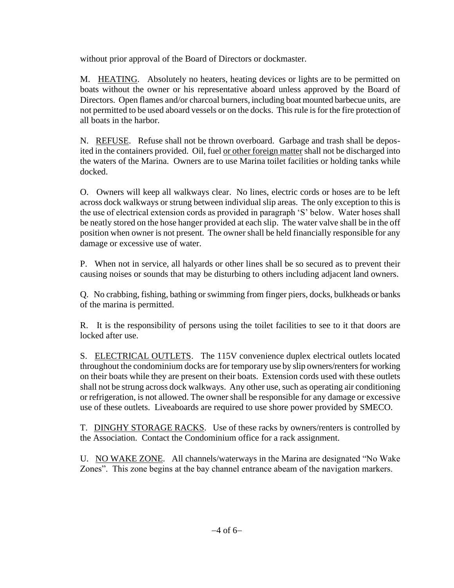without prior approval of the Board of Directors or dockmaster.

M. HEATING. Absolutely no heaters, heating devices or lights are to be permitted on boats without the owner or his representative aboard unless approved by the Board of Directors. Open flames and/or charcoal burners, including boat mounted barbecue units, are not permitted to be used aboard vessels or on the docks. This rule is for the fire protection of all boats in the harbor.

N. REFUSE. Refuse shall not be thrown overboard. Garbage and trash shall be deposited in the containers provided. Oil, fuel or other foreign matter shall not be discharged into the waters of the Marina. Owners are to use Marina toilet facilities or holding tanks while docked.

O. Owners will keep all walkways clear. No lines, electric cords or hoses are to be left across dock walkways or strung between individual slip areas. The only exception to this is the use of electrical extension cords as provided in paragraph 'S' below. Water hoses shall be neatly stored on the hose hanger provided at each slip. The water valve shall be in the off position when owner is not present. The owner shall be held financially responsible for any damage or excessive use of water.

P. When not in service, all halyards or other lines shall be so secured as to prevent their causing noises or sounds that may be disturbing to others including adjacent land owners.

Q. No crabbing, fishing, bathing or swimming from finger piers, docks, bulkheads or banks of the marina is permitted.

R. It is the responsibility of persons using the toilet facilities to see to it that doors are locked after use.

S. ELECTRICAL OUTLETS. The 115V convenience duplex electrical outlets located throughout the condominium docks are for temporary use by slip owners/renters for working on their boats while they are present on their boats. Extension cords used with these outlets shall not be strung across dock walkways. Any other use, such as operating air conditioning or refrigeration, is not allowed. The owner shall be responsible for any damage or excessive use of these outlets. Liveaboards are required to use shore power provided by SMECO.

T. DINGHY STORAGE RACKS. Use of these racks by owners/renters is controlled by the Association. Contact the Condominium office for a rack assignment.

U. NO WAKE ZONE. All channels/waterways in the Marina are designated "No Wake Zones". This zone begins at the bay channel entrance abeam of the navigation markers.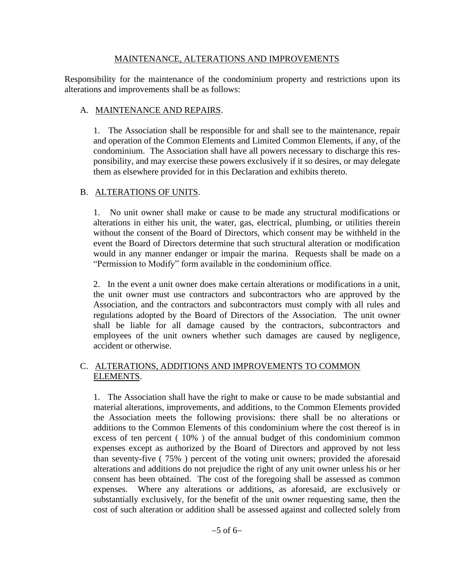#### MAINTENANCE, ALTERATIONS AND IMPROVEMENTS

 Responsibility for the maintenance of the condominium property and restrictions upon its alterations and improvements shall be as follows:

### A. MAINTENANCE AND REPAIRS.

 1. The Association shall be responsible for and shall see to the maintenance, repair and operation of the Common Elements and Limited Common Elements, if any, of the condominium. The Association shall have all powers necessary to discharge this res ponsibility, and may exercise these powers exclusively if it so desires, or may delegate them as elsewhere provided for in this Declaration and exhibits thereto.

## B. ALTERATIONS OF UNITS.

 1. No unit owner shall make or cause to be made any structural modifications or alterations in either his unit, the water, gas, electrical, plumbing, or utilities therein without the consent of the Board of Directors, which consent may be withheld in the event the Board of Directors determine that such structural alteration or modification would in any manner endanger or impair the marina. Requests shall be made on a "Permission to Modify" form available in the condominium office.

 2. In the event a unit owner does make certain alterations or modifications in a unit, the unit owner must use contractors and subcontractors who are approved by the Association, and the contractors and subcontractors must comply with all rules and regulations adopted by the Board of Directors of the Association. The unit owner shall be liable for all damage caused by the contractors, subcontractors and employees of the unit owners whether such damages are caused by negligence, accident or otherwise.

### C. ALTERATIONS, ADDITIONS AND IMPROVEMENTS TO COMMON ELEMENTS.

 1. The Association shall have the right to make or cause to be made substantial and material alterations, improvements, and additions, to the Common Elements provided the Association meets the following provisions: there shall be no alterations or additions to the Common Elements of this condominium where the cost thereof is in excess of ten percent ( 10% ) of the annual budget of this condominium common expenses except as authorized by the Board of Directors and approved by not less than seventy-five ( 75% ) percent of the voting unit owners; provided the aforesaid alterations and additions do not prejudice the right of any unit owner unless his or her consent has been obtained. The cost of the foregoing shall be assessed as common expenses. Where any alterations or additions, as aforesaid, are exclusively or substantially exclusively, for the benefit of the unit owner requesting same, then the cost of such alteration or addition shall be assessed against and collected solely from